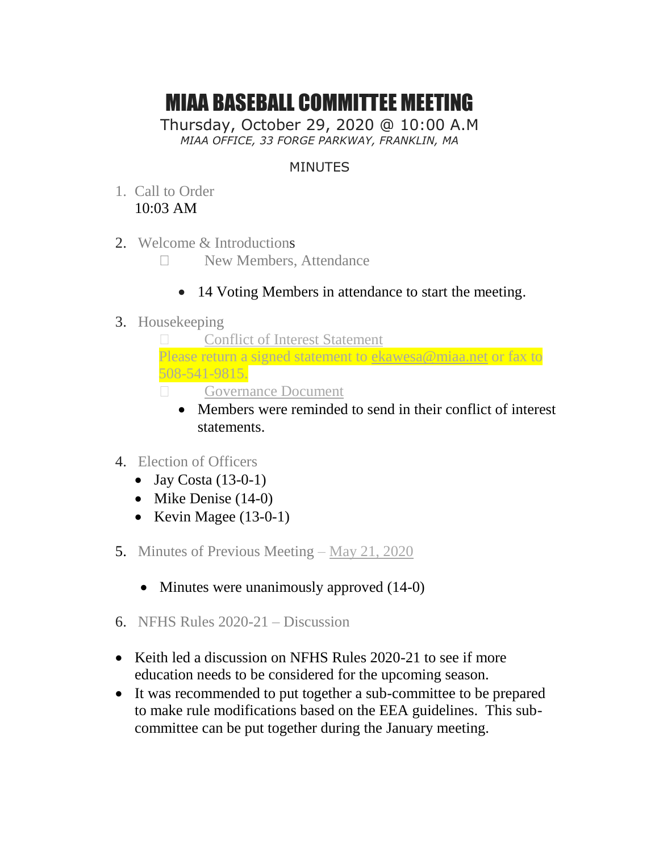## MIAA BASEBALL COMMITTEE MEETING

Thursday, October 29, 2020 @ 10:00 A.M *MIAA OFFICE, 33 FORGE PARKWAY, FRANKLIN, MA*

## MINUTES

- 1. Call to Order 10:03 AM
- 2. Welcome & Introductions
	- New Members, Attendance
		- 14 Voting Members in attendance to start the meeting.
- 3. Housekeeping



- Members were reminded to send in their conflict of interest statements.
- 4. Election of Officers
	- $\bullet$  Jay Costa (13-0-1)
	- $\bullet$  Mike Denise (14-0)
	- Kevin Magee  $(13-0-1)$
- 5. Minutes of Previous Meeting [May 21, 2020](http://miaa.net/gen/miaa_generated_bin/documents/basic_module/Meeting__Minutes_052120.pdf)
	- Minutes were unanimously approved  $(14-0)$
- 6. NFHS Rules 2020-21 Discussion
- Keith led a discussion on NFHS Rules 2020-21 to see if more education needs to be considered for the upcoming season.
- It was recommended to put together a sub-committee to be prepared to make rule modifications based on the EEA guidelines. This subcommittee can be put together during the January meeting.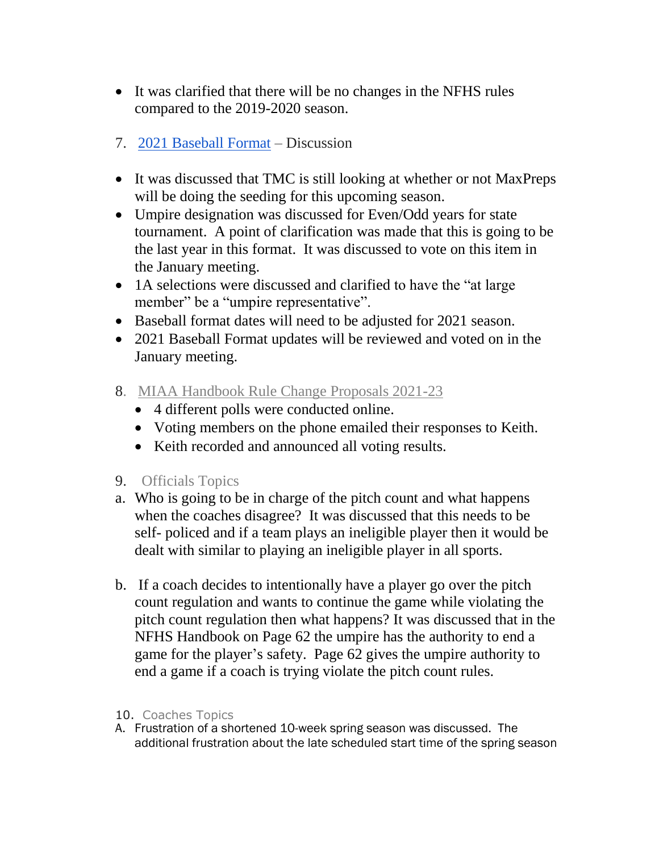- It was clarified that there will be no changes in the NFHS rules compared to the 2019-2020 season.
- 7. [2021 Baseball Format](http://miaa.net/gen/miaa_generated_bin/documents/basic_module/BaseballSpring_2020.pdf) Discussion
- It was discussed that TMC is still looking at whether or not MaxPreps will be doing the seeding for this upcoming season.
- Umpire designation was discussed for Even/Odd years for state tournament. A point of clarification was made that this is going to be the last year in this format. It was discussed to vote on this item in the January meeting.
- 1A selections were discussed and clarified to have the "at large member" be a "umpire representative".
- Baseball format dates will need to be adjusted for 2021 season.
- 2021 Baseball Format updates will be reviewed and voted on in the January meeting.
- 8. [MIAA Handbook Rule Change Proposals 2021-23](http://miaa.net/gen/miaa_generated_bin/documents/basic_module/RuleChangeProposalsfor202123.pdf)
	- 4 different polls were conducted online.
	- Voting members on the phone emailed their responses to Keith.
	- Keith recorded and announced all voting results.
- 9. Officials Topics
- a. Who is going to be in charge of the pitch count and what happens when the coaches disagree? It was discussed that this needs to be self- policed and if a team plays an ineligible player then it would be dealt with similar to playing an ineligible player in all sports.
- b. If a coach decides to intentionally have a player go over the pitch count regulation and wants to continue the game while violating the pitch count regulation then what happens? It was discussed that in the NFHS Handbook on Page 62 the umpire has the authority to end a game for the player's safety. Page 62 gives the umpire authority to end a game if a coach is trying violate the pitch count rules.
- 10. Coaches Topics
- A. Frustration of a shortened 10-week spring season was discussed. The additional frustration about the late scheduled start time of the spring season